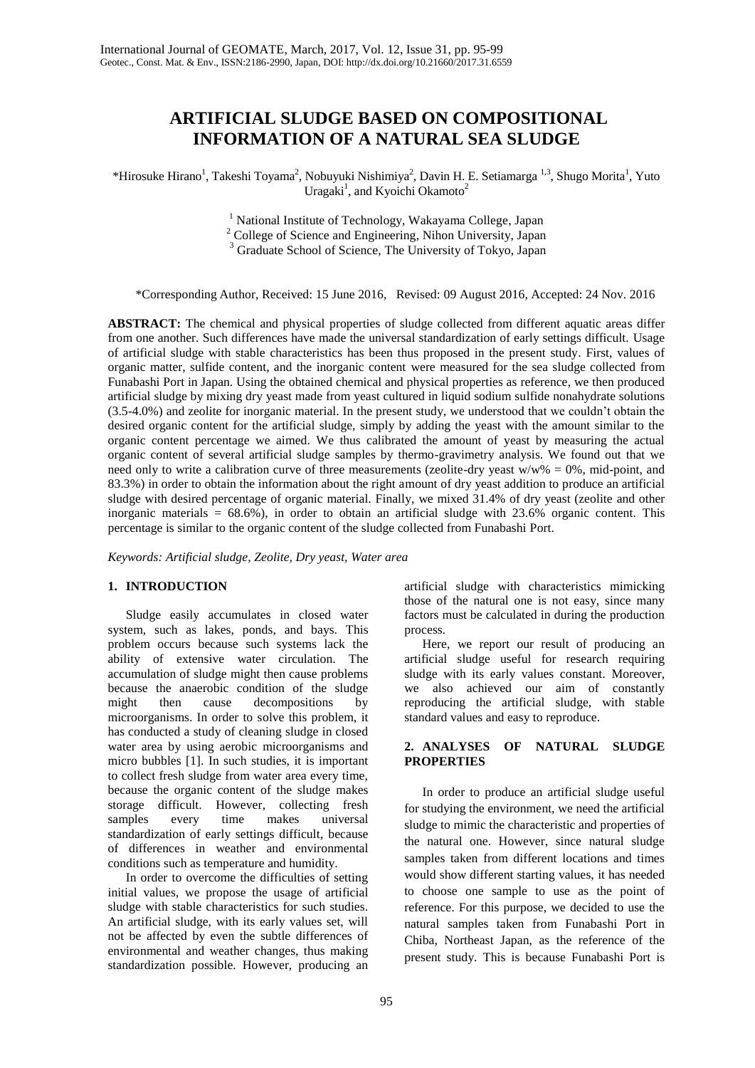# **ARTIFICIAL SLUDGE BASED ON COMPOSITIONAL INFORMATION OF A NATURAL SEA SLUDGE**

\*Hirosuke Hirano<sup>1</sup>, Takeshi Toyama<sup>2</sup>, Nobuyuki Nishimiya<sup>2</sup>, Davin H. E. Setiamarga <sup>1,3</sup>, Shugo Morita<sup>1</sup>, Yuto Uragaki<sup>1</sup>, and Kyoichi Okamoto<sup>2</sup>

> <sup>1</sup> National Institute of Technology, Wakayama College, Japan <sup>2</sup> College of Science and Engineering, Nihon University, Japan <sup>3</sup> Graduate School of Science, The University of Tokyo, Japan

\*Corresponding Author, Received: 15 June 2016, Revised: 09 August 2016, Accepted: 24 Nov. 2016

**ABSTRACT:** The chemical and physical properties of sludge collected from different aquatic areas differ from one another. Such differences have made the universal standardization of early settings difficult. Usage of artificial sludge with stable characteristics has been thus proposed in the present study. First, values of organic matter, sulfide content, and the inorganic content were measured for the sea sludge collected from Funabashi Port in Japan. Using the obtained chemical and physical properties as reference, we then produced artificial sludge by mixing dry yeast made from yeast cultured in liquid sodium sulfide nonahydrate solutions (3.5-4.0%) and zeolite for inorganic material. In the present study, we understood that we couldn't obtain the desired organic content for the artificial sludge, simply by adding the yeast with the amount similar to the organic content percentage we aimed. We thus calibrated the amount of yeast by measuring the actual organic content of several artificial sludge samples by thermo-gravimetry analysis. We found out that we need only to write a calibration curve of three measurements (zeolite-dry yeast  $w/w\% = 0\%$ , mid-point, and 83.3%) in order to obtain the information about the right amount of dry yeast addition to produce an artificial sludge with desired percentage of organic material. Finally, we mixed 31.4% of dry yeast (zeolite and other inorganic materials  $= 68.6\%$ ), in order to obtain an artificial sludge with 23.6% organic content. This percentage is similar to the organic content of the sludge collected from Funabashi Port.

*Keywords: Artificial sludge, Zeolite, Dry yeast, Water area*

# **1. INTRODUCTION**

Sludge easily accumulates in closed water system, such as lakes, ponds, and bays. This problem occurs because such systems lack the ability of extensive water circulation. The accumulation of sludge might then cause problems because the anaerobic condition of the sludge might then cause decompositions by microorganisms. In order to solve this problem, it has conducted a study of cleaning sludge in closed water area by using aerobic microorganisms and micro bubbles [1]. In such studies, it is important to collect fresh sludge from water area every time, because the organic content of the sludge makes storage difficult. However, collecting fresh samples every time makes universal standardization of early settings difficult, because of differences in weather and environmental conditions such as temperature and humidity.

In order to overcome the difficulties of setting initial values, we propose the usage of artificial sludge with stable characteristics for such studies. An artificial sludge, with its early values set, will not be affected by even the subtle differences of environmental and weather changes, thus making standardization possible. However, producing an artificial sludge with characteristics mimicking those of the natural one is not easy, since many factors must be calculated in during the production process.

Here, we report our result of producing an artificial sludge useful for research requiring sludge with its early values constant. Moreover, we also achieved our aim of constantly reproducing the artificial sludge, with stable standard values and easy to reproduce.

# **2. ANALYSES OF NATURAL SLUDGE PROPERTIES**

In order to produce an artificial sludge useful for studying the environment, we need the artificial sludge to mimic the characteristic and properties of the natural one. However, since natural sludge samples taken from different locations and times would show different starting values, it has needed to choose one sample to use as the point of reference. For this purpose, we decided to use the natural samples taken from Funabashi Port in Chiba, Northeast Japan, as the reference of the present study. This is because Funabashi Port is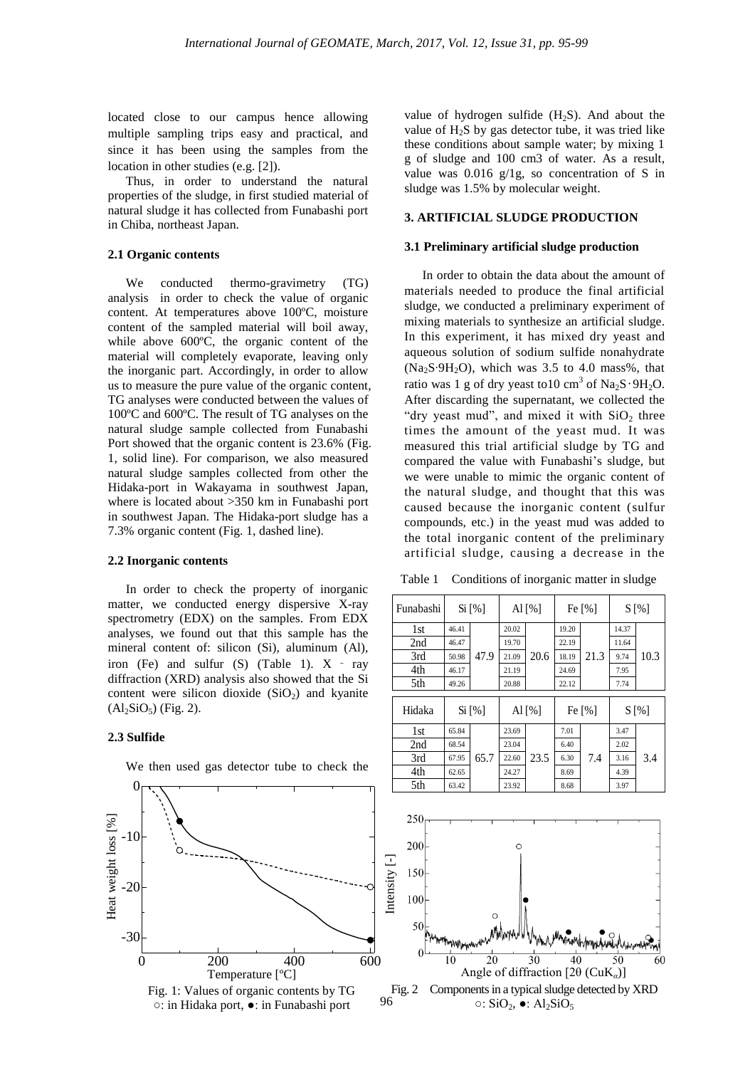located close to our campus hence allowing multiple sampling trips easy and practical, and since it has been using the samples from the location in other studies (e.g. [2]).

Thus, in order to understand the natural properties of the sludge, in first studied material of natural sludge it has collected from Funabashi port in Chiba, northeast Japan.

## **2.1 Organic contents**

We conducted thermo-gravimetry (TG) analysis in order to check the value of organic content. At temperatures above 100ºC, moisture content of the sampled material will boil away, while above 600ºC, the organic content of the material will completely evaporate, leaving only the inorganic part. Accordingly, in order to allow us to measure the pure value of the organic content, TG analyses were conducted between the values of 100ºC and 600ºC. The result of TG analyses on the natural sludge sample collected from Funabashi Port showed that the organic content is 23.6% (Fig. 1, solid line). For comparison, we also measured natural sludge samples collected from other the Hidaka-port in Wakayama in southwest Japan, where is located about >350 km in Funabashi port in southwest Japan. The Hidaka-port sludge has a 7.3% organic content (Fig. 1, dashed line).

### **2.2 Inorganic contents**

In order to check the property of inorganic matter, we conducted energy dispersive X-ray spectrometry (EDX) on the samples. From EDX analyses, we found out that this sample has the mineral content of: silicon (Si), aluminum (Al), iron (Fe) and sulfur  $(S)$  (Table 1).  $X - ray$ diffraction (XRD) analysis also showed that the Si content were silicon dioxide  $(SiO<sub>2</sub>)$  and kyanite  $(Al_2SiO_5)$  (Fig. 2).

#### **2.3 Sulfide**



We then used gas detector tube to check the

value of hydrogen sulfide  $(H_2S)$ . And about the value of  $H_2S$  by gas detector tube, it was tried like these conditions about sample water; by mixing 1 g of sludge and 100 cm3 of water. As a result, value was 0.016 g/1g, so concentration of S in sludge was 1.5% by molecular weight.

## **3. ARTIFICIAL SLUDGE PRODUCTION**

#### **3.1 Preliminary artificial sludge production**

In order to obtain the data about the amount of materials needed to produce the final artificial sludge, we conducted a preliminary experiment of mixing materials to synthesize an artificial sludge. In this experiment, it has mixed dry yeast and aqueous solution of sodium sulfide nonahydrate (Na2S∙9H2O), which was 3.5 to 4.0 mass%, that ratio was 1 g of dry yeast to10 cm<sup>3</sup> of Na<sub>2</sub>S∙9H<sub>2</sub>O. After discarding the supernatant, we collected the "dry yeast mud", and mixed it with  $SiO<sub>2</sub>$  three times the amount of the yeast mud. It was measured this trial artificial sludge by TG and compared the value with Funabashi's sludge, but we were unable to mimic the organic content of the natural sludge, and thought that this was caused because the inorganic content (sulfur compounds, etc.) in the yeast mud was added to the total inorganic content of the preliminary artificial sludge, causing a decrease in the

Table 1 Conditions of inorganic matter in sludge



 $Fig. 2$ Components in a typical sludge detected by XRD  $\circ$ : SiO<sub>2</sub>,  $\bullet$ : Al<sub>2</sub>SiO<sub>5</sub> Angle of diffraction [2θ (CuK*α*)]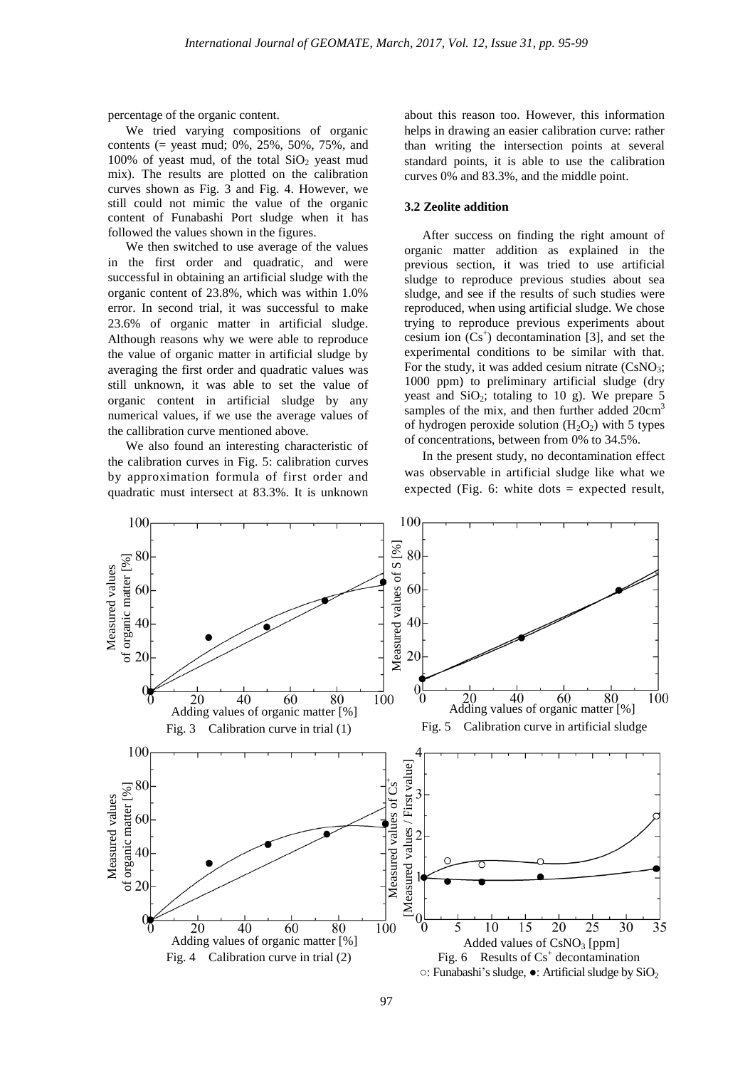percentage of the organic content.

We tried varying compositions of organic contents (= yeast mud; 0%, 25%, 50%, 75%, and 100% of yeast mud, of the total  $SiO<sub>2</sub>$  yeast mud mix). The results are plotted on the calibration curves shown as Fig. 3 and Fig. 4. However, we still could not mimic the value of the organic content of Funabashi Port sludge when it has followed the values shown in the figures.

We then switched to use average of the values in the first order and quadratic, and were successful in obtaining an artificial sludge with the organic content of 23.8%, which was within 1.0% error. In second trial, it was successful to make 23.6% of organic matter in artificial sludge. Although reasons why we were able to reproduce the value of organic matter in artificial sludge by averaging the first order and quadratic values was still unknown, it was able to set the value of organic content in artificial sludge by any numerical values, if we use the average values of the callibration curve mentioned above.

We also found an interesting characteristic of the calibration curves in Fig. 5: calibration curves by approximation formula of first order and quadratic must intersect at 83.3%. It is unknown

about this reason too. However, this information helps in drawing an easier calibration curve: rather than writing the intersection points at several standard points, it is able to use the calibration curves 0% and 83.3%, and the middle point.

## **3.2 Zeolite addition**

After success on finding the right amount of organic matter addition as explained in the previous section, it was tried to use artificial sludge to reproduce previous studies about sea sludge, and see if the results of such studies were reproduced, when using artificial sludge. We chose trying to reproduce previous experiments about cesium ion  $(Cs<sup>+</sup>)$  decontamination [3], and set the experimental conditions to be similar with that. For the study, it was added cesium nitrate  $(CsNO_3;$ 1000 ppm) to preliminary artificial sludge (dry yeast and  $SiO<sub>2</sub>$ ; totaling to 10 g). We prepare 5 samples of the mix, and then further added  $20 \text{cm}^3$ of hydrogen peroxide solution  $(H_2O_2)$  with 5 types of concentrations, between from 0% to 34.5%.

In the present study, no decontamination effect was observable in artificial sludge like what we expected (Fig. 6: white dots  $=$  expected result,

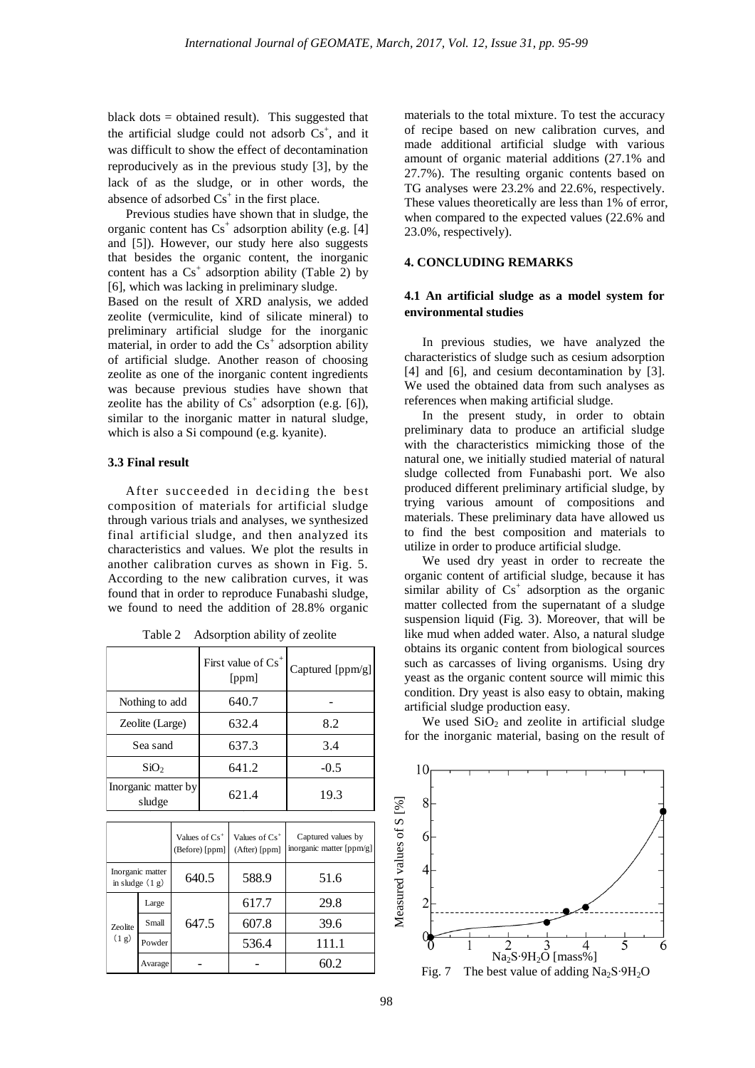black dots = obtained result). This suggested that the artificial sludge could not adsorb  $Cs<sup>+</sup>$ , and it was difficult to show the effect of decontamination reproducively as in the previous study [3], by the lack of as the sludge, or in other words, the absence of adsorbed  $Cs<sup>+</sup>$  in the first place.

Previous studies have shown that in sludge, the organic content has  $Cs<sup>+</sup>$  adsorption ability (e.g. [4] and [5]). However, our study here also suggests that besides the organic content, the inorganic content has a  $Cs<sup>+</sup>$  adsorption ability (Table 2) by [6], which was lacking in preliminary sludge.

Based on the result of XRD analysis, we added zeolite (vermiculite, kind of silicate mineral) to preliminary artificial sludge for the inorganic material, in order to add the  $Cs<sup>+</sup>$  adsorption ability of artificial sludge. Another reason of choosing zeolite as one of the inorganic content ingredients was because previous studies have shown that zeolite has the ability of  $Cs<sup>+</sup>$  adsorption (e.g. [6]), similar to the inorganic matter in natural sludge, which is also a Si compound (e.g. kyanite).

#### **3.3 Final result**

After succeeded in deciding the best composition of materials for artificial sludge through various trials and analyses, we synthesized final artificial sludge, and then analyzed its characteristics and values. We plot the results in another calibration curves as shown in Fig. 5. According to the new calibration curves, it was found that in order to reproduce Funabashi sludge, we found to need the addition of 28.8% organic

|                               | First value of Cs <sup>+</sup><br>[ppm] | Captured [ppm/g] |
|-------------------------------|-----------------------------------------|------------------|
| Nothing to add                | 640.7                                   |                  |
| Zeolite (Large)               | 632.4                                   | 8.2              |
| Sea sand                      | 637.3                                   | 3.4              |
| SiO <sub>2</sub>              | 641.2                                   | $-0.5$           |
| Inorganic matter by<br>sludge | 621.4                                   | 19.3             |

Table 2 Adsorption ability of zeolite

|                         |                                       | Values of $Cs+$<br>(Before) [ppm] | Values of $Cs^+$<br>(After) [ppm] | Captured values by<br>inorganic matter [ppm/g] |
|-------------------------|---------------------------------------|-----------------------------------|-----------------------------------|------------------------------------------------|
|                         | Inorganic matter<br>in sludge $(1 g)$ | 640.5                             | 588.9                             | 51.6                                           |
| <b>Zeolite</b><br>(1 g) | Large                                 | 647.5                             | 617.7                             | 29.8                                           |
|                         | Small                                 |                                   | 607.8                             | 39.6                                           |
|                         | Powder                                |                                   | 536.4                             | 111.1                                          |
|                         | Avarage                               |                                   |                                   | 60.2                                           |

materials to the total mixture. To test the accuracy of recipe based on new calibration curves, and made additional artificial sludge with various amount of organic material additions (27.1% and 27.7%). The resulting organic contents based on TG analyses were 23.2% and 22.6%, respectively. These values theoretically are less than 1% of error, when compared to the expected values (22.6% and 23.0%, respectively).

## **4. CONCLUDING REMARKS**

# **4.1 An artificial sludge as a model system for environmental studies**

In previous studies, we have analyzed the characteristics of sludge such as cesium adsorption [4] and [6], and cesium decontamination by [3]. We used the obtained data from such analyses as references when making artificial sludge.

In the present study, in order to obtain preliminary data to produce an artificial sludge with the characteristics mimicking those of the natural one, we initially studied material of natural sludge collected from Funabashi port. We also produced different preliminary artificial sludge, by trying various amount of compositions and materials. These preliminary data have allowed us to find the best composition and materials to utilize in order to produce artificial sludge.

We used dry yeast in order to recreate the organic content of artificial sludge, because it has similar ability of  $Cs<sup>+</sup>$  adsorption as the organic matter collected from the supernatant of a sludge suspension liquid (Fig. 3). Moreover, that will be like mud when added water. Also, a natural sludge obtains its organic content from biological sources such as carcasses of living organisms. Using dry yeast as the organic content source will mimic this condition. Dry yeast is also easy to obtain, making artificial sludge production easy.

We used  $SiO<sub>2</sub>$  and zeolite in artificial sludge for the inorganic material, basing on the result of